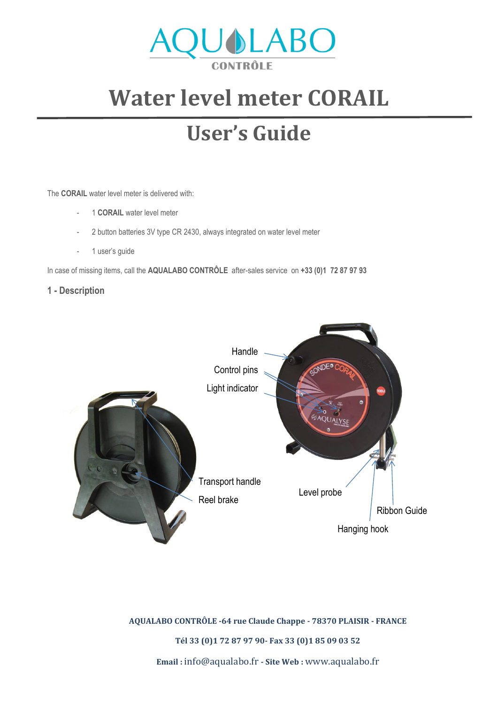

# **Water level meter CORAIL**

# **User's Guide**

The **CORAIL** water level meter is delivered with:

- 1 **CORAIL** water level meter
- 2 button batteries 3V type CR 2430, always integrated on water level meter
- 1 user's guide

In case of missing items, call the **AQUALABO CONTRÔLE** after-sales service on **+33 (0)1 72 87 97 93**

## **1 - Description**



**AQUALABO CONTRÔLE -64 rue Claude Chappe - 78370 PLAISIR - FRANCE**

**Tél 33 (0)1 72 87 97 90- Fax 33 (0)1 85 09 03 52**

**Email :** [info@aqualabo.fr](mailto:info@aqualabo.fr) **- Site Web :** [www.aqualabo.fr](http://www.aqualabo.fr/)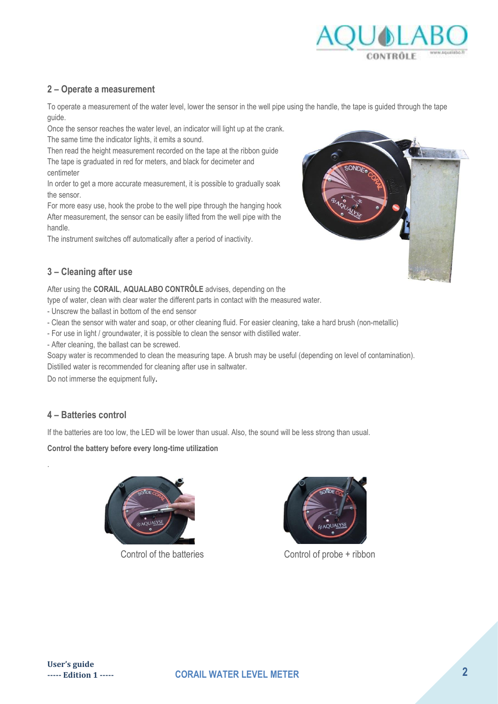

### **2 – Operate a measurement**

To operate a measurement of the water level, lower the sensor in the well pipe using the handle, the tape is guided through the tape guide.

Once the sensor reaches the water level, an indicator will light up at the crank. The same time the indicator lights, it emits a sound.

Then read the height measurement recorded on the tape at the ribbon guide The tape is graduated in red for meters, and black for decimeter and centimeter

In order to get a more accurate measurement, it is possible to gradually soak the sensor.

For more easy use, hook the probe to the well pipe through the hanging hook After measurement, the sensor can be easily lifted from the well pipe with the handle.

The instrument switches off automatically after a period of inactivity.



After using the **CORAIL**, **AQUALABO CONTRÔLE** advises, depending on the

type of water, clean with clear water the different parts in contact with the measured water.

- Unscrew the ballast in bottom of the end sensor

- Clean the sensor with water and soap, or other cleaning fluid. For easier cleaning, take a hard brush (non-metallic)

- For use in light / groundwater, it is possible to clean the sensor with distilled water.

- After cleaning, the ballast can be screwed.

Soapy water is recommended to clean the measuring tape. A brush may be useful (depending on level of contamination). Distilled water is recommended for cleaning after use in saltwater.

Do not immerse the equipment fully.

# **4 – Batteries control**

.

If the batteries are too low, the LED will be lower than usual. Also, the sound will be less strong than usual.

**Control the battery before every long-time utilization** 





Control of the batteries Control of probe + ribbon

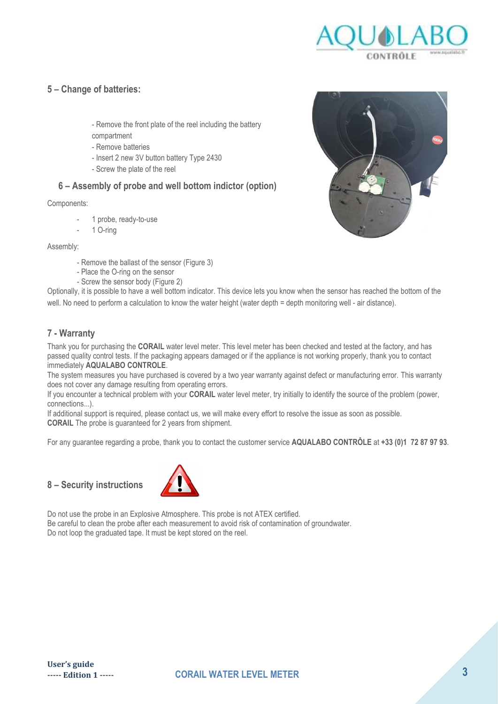

### **5 – Change of batteries:**

- Remove the front plate of the reel including the battery compartment
- Remove batteries
- Insert 2 new 3V button battery Type 2430
- Screw the plate of the reel

### **6 – Assembly of probe and well bottom indictor (option)**

#### Components:

- 1 probe, ready-to-use
- 1 O-ring

#### Assembly:

- Remove the ballast of the sensor (Figure 3)
- Place the O-ring on the sensor
- Screw the sensor body (Figure 2)

Optionally, it is possible to have a well bottom indicator. This device lets you know when the sensor has reached the bottom of the well. No need to perform a calculation to know the water height (water depth = depth monitoring well - air distance).

#### **7 - Warranty**

Thank you for purchasing the **CORAIL** water level meter. This level meter has been checked and tested at the factory, and has passed quality control tests. If the packaging appears damaged or if the appliance is not working properly, thank you to contact immediately **AQUALABO CONTROLE**.

The system measures you have purchased is covered by a two year warranty against defect or manufacturing error. This warranty does not cover any damage resulting from operating errors.

If you encounter a technical problem with your **CORAIL** water level meter, try initially to identify the source of the problem (power, connections...).

If additional support is required, please contact us, we will make every effort to resolve the issue as soon as possible. **CORAIL** The probe is guaranteed for 2 years from shipment.

For any guarantee regarding a probe, thank you to contact the customer service **AQUALABO CONTRÔLE** at **+33 (0)1 72 87 97 93**.

# **8 – Security instructions**



Do not use the probe in an Explosive Atmosphere. This probe is not ATEX certified. Be careful to clean the probe after each measurement to avoid risk of contamination of groundwater. Do not loop the graduated tape. It must be kept stored on the reel.